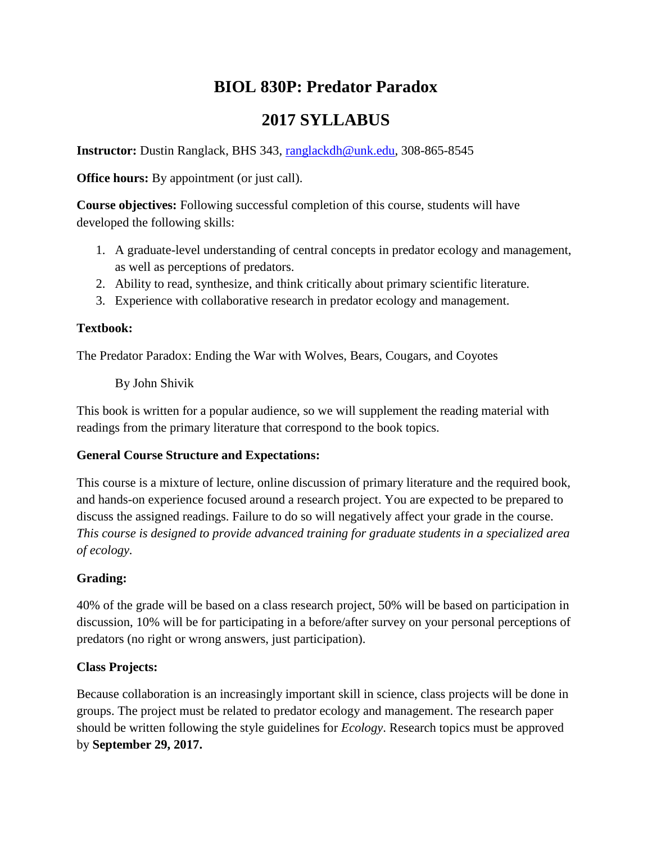# **BIOL 830P: Predator Paradox**

## **2017 SYLLABUS**

**Instructor:** Dustin Ranglack, BHS 343, [ranglackdh@unk.edu,](mailto:ranglackdh@unk.edu) 308-865-8545

**Office hours:** By appointment (or just call).

**Course objectives:** Following successful completion of this course, students will have developed the following skills:

- 1. A graduate-level understanding of central concepts in predator ecology and management, as well as perceptions of predators.
- 2. Ability to read, synthesize, and think critically about primary scientific literature.
- 3. Experience with collaborative research in predator ecology and management.

### **Textbook:**

The Predator Paradox: Ending the War with Wolves, Bears, Cougars, and Coyotes

By John Shivik

This book is written for a popular audience, so we will supplement the reading material with readings from the primary literature that correspond to the book topics.

## **General Course Structure and Expectations:**

This course is a mixture of lecture, online discussion of primary literature and the required book, and hands-on experience focused around a research project. You are expected to be prepared to discuss the assigned readings. Failure to do so will negatively affect your grade in the course. *This course is designed to provide advanced training for graduate students in a specialized area of ecology.*

## **Grading:**

40% of the grade will be based on a class research project, 50% will be based on participation in discussion, 10% will be for participating in a before/after survey on your personal perceptions of predators (no right or wrong answers, just participation).

## **Class Projects:**

Because collaboration is an increasingly important skill in science, class projects will be done in groups. The project must be related to predator ecology and management. The research paper should be written following the style guidelines for *Ecology*. Research topics must be approved by **September 29, 2017.**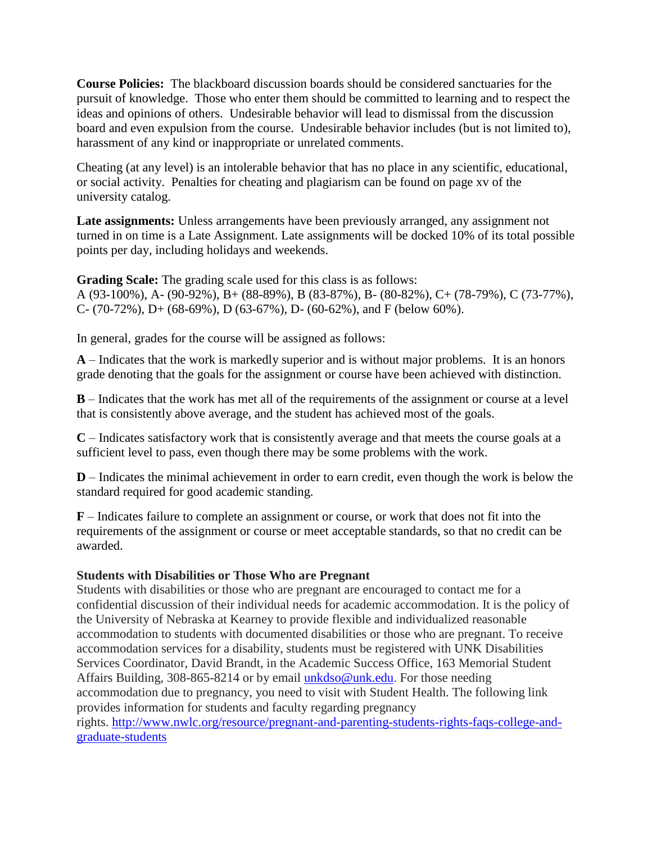**Course Policies:** The blackboard discussion boards should be considered sanctuaries for the pursuit of knowledge. Those who enter them should be committed to learning and to respect the ideas and opinions of others. Undesirable behavior will lead to dismissal from the discussion board and even expulsion from the course. Undesirable behavior includes (but is not limited to), harassment of any kind or inappropriate or unrelated comments.

Cheating (at any level) is an intolerable behavior that has no place in any scientific, educational, or social activity. Penalties for cheating and plagiarism can be found on page xv of the university catalog.

Late assignments: Unless arrangements have been previously arranged, any assignment not turned in on time is a Late Assignment. Late assignments will be docked 10% of its total possible points per day, including holidays and weekends.

**Grading Scale:** The grading scale used for this class is as follows: A (93-100%), A- (90-92%), B+ (88-89%), B (83-87%), B- (80-82%), C+ (78-79%), C (73-77%), C- (70-72%), D+ (68-69%), D (63-67%), D- (60-62%), and F (below 60%).

In general, grades for the course will be assigned as follows:

**A** – Indicates that the work is markedly superior and is without major problems. It is an honors grade denoting that the goals for the assignment or course have been achieved with distinction.

**B** – Indicates that the work has met all of the requirements of the assignment or course at a level that is consistently above average, and the student has achieved most of the goals.

**C** – Indicates satisfactory work that is consistently average and that meets the course goals at a sufficient level to pass, even though there may be some problems with the work.

**D** – Indicates the minimal achievement in order to earn credit, even though the work is below the standard required for good academic standing.

**F** – Indicates failure to complete an assignment or course, or work that does not fit into the requirements of the assignment or course or meet acceptable standards, so that no credit can be awarded.

#### **Students with Disabilities or Those Who are Pregnant**

Students with disabilities or those who are pregnant are encouraged to contact me for a confidential discussion of their individual needs for academic accommodation. It is the policy of the University of Nebraska at Kearney to provide flexible and individualized reasonable accommodation to students with documented disabilities or those who are pregnant. To receive accommodation services for a disability, students must be registered with UNK Disabilities Services Coordinator, David Brandt, in the Academic Success Office, 163 Memorial Student Affairs Building, 308-865-8214 or by email [unkdso@unk.edu.](mailto:unkdso@unk.edu) For those needing accommodation due to pregnancy, you need to visit with Student Health. The following link provides information for students and faculty regarding pregnancy rights. [http://www.nwlc.org/resource/pregnant-and-parenting-students-rights-faqs-college-and](http://www.nwlc.org/resource/pregnant-and-parenting-students-rights-faqs-college-and-graduate-students)[graduate-students](http://www.nwlc.org/resource/pregnant-and-parenting-students-rights-faqs-college-and-graduate-students)